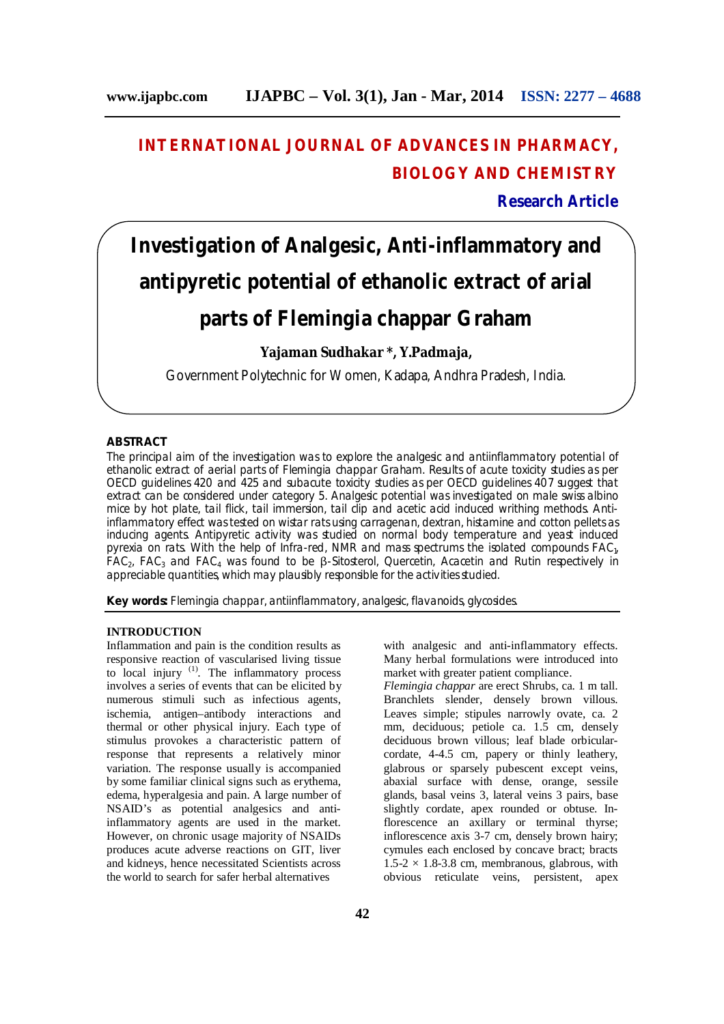# **INTERNATIONAL JOURNAL OF ADVANCES IN PHARMACY, BIOLOGY AND CHEMISTRY**

**Research Article**

# **Investigation of Analgesic, Anti-inflammatory and antipyretic potential of ethanolic extract of arial**

## **parts of** *Flemingia chappar* **Graham**

**Yajaman Sudhakar \*, Y.Padmaja,** 

Government Polytechnic for Women, Kadapa, Andhra Pradesh, India.

#### **ABSTRACT**

The principal aim of the investigation was to explore the analgesic and antiinflammatory potential of ethanolic extract of aerial parts of *Flemingia chappar Graham.* Results of acute toxicity studies as per OECD guidelines 420 and 425 and subacute toxicity studies as per OECD guidelines 407 suggest that extract can be considered under category 5. Analgesic potential was investigated on male swiss albino mice by hot plate, tail flick, tail immersion, tail clip and acetic acid induced writhing methods. Antiinflammatory effect was tested on wistar rats using carragenan, dextran, histamine and cotton pellets as inducing agents. Antipyretic activity was studied on normal body temperature and yeast induced pyrexia on rats. With the help of Infra-red, NMR and mass spectrums the isolated compounds FAC<sub>1</sub>,  $FAC<sub>2</sub>$ ,  $FAC<sub>3</sub>$  and  $FAC<sub>4</sub>$  was found to be β-Sitosterol, Quercetin, Acacetin and Rutin respectively in appreciable quantities, which may plausibly responsible for the activities studied.

**Key words:** *Flemingia chappar,* antiinflammatory, analgesic, flavanoids, glycosides.

#### **INTRODUCTION**

Inflammation and pain is the condition results as responsive reaction of vascularised living tissue to local injury  $(1)$ . The inflammatory process involves a series of events that can be elicited by numerous stimuli such as infectious agents, ischemia, antigen–antibody interactions and thermal or other physical injury. Each type of stimulus provokes a characteristic pattern of response that represents a relatively minor variation. The response usually is accompanied by some familiar clinical signs such as erythema, edema, hyperalgesia and pain. A large number of NSAID's as potential analgesics and antiinflammatory agents are used in the market. However, on chronic usage majority of NSAIDs produces acute adverse reactions on GIT, liver and kidneys, hence necessitated Scientists across the world to search for safer herbal alternatives

with analgesic and anti-inflammatory effects. Many herbal formulations were introduced into market with greater patient compliance.

*Flemingia chappar* are erect Shrubs, ca. 1 m tall. Branchlets slender, densely brown villous. Leaves simple; stipules narrowly ovate, ca. 2 mm, deciduous; petiole ca. 1.5 cm, densely deciduous brown villous; leaf blade orbicularcordate, 4-4.5 cm, papery or thinly leathery, glabrous or sparsely pubescent except veins, abaxial surface with dense, orange, sessile glands, basal veins 3, lateral veins 3 pairs, base slightly cordate, apex rounded or obtuse. Inflorescence an axillary or terminal thyrse; inflorescence axis 3-7 cm, densely brown hairy; cymules each enclosed by concave bract; bracts  $1.5-2 \times 1.8-3.8$  cm, membranous, glabrous, with obvious reticulate veins, persistent, apex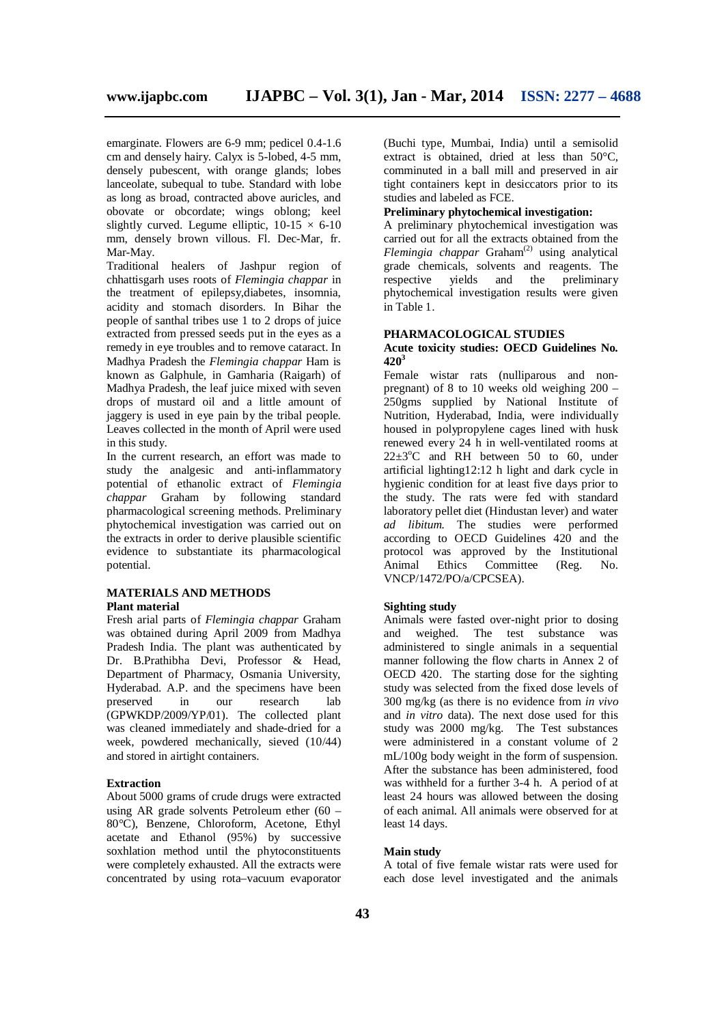emarginate. Flowers are 6-9 mm; pedicel 0.4-1.6 cm and densely hairy. Calyx is 5-lobed, 4-5 mm, densely pubescent, with orange glands; lobes lanceolate, subequal to tube. Standard with lobe as long as broad, contracted above auricles, and obovate or obcordate; wings oblong; keel slightly curved. Legume elliptic,  $10-15 \times 6-10$ mm, densely brown villous. Fl. Dec-Mar, fr. Mar-May.

Traditional healers of Jashpur region of chhattisgarh uses roots of *Flemingia chappar* in the treatment of epilepsy,diabetes, insomnia, acidity and stomach disorders. In Bihar the people of santhal tribes use 1 to 2 drops of juice extracted from pressed seeds put in the eyes as a remedy in eye troubles and to remove cataract. In Madhya Pradesh the *Flemingia chappar* Ham is known as Galphule, in Gamharia (Raigarh) of Madhya Pradesh, the leaf juice mixed with seven drops of mustard oil and a little amount of jaggery is used in eye pain by the tribal people. Leaves collected in the month of April were used in this study.

In the current research, an effort was made to study the analgesic and anti-inflammatory potential of ethanolic extract of *Flemingia chappar* Graham by following standard pharmacological screening methods. Preliminary phytochemical investigation was carried out on the extracts in order to derive plausible scientific evidence to substantiate its pharmacological potential.

#### **MATERIALS AND METHODS Plant material**

Fresh arial parts of *Flemingia chappar* Graham was obtained during April 2009 from Madhya Pradesh India. The plant was authenticated by Dr. B.Prathibha Devi, Professor & Head, Department of Pharmacy, Osmania University, Hyderabad. A.P. and the specimens have been preserved in our research lab (GPWKDP/2009/YP/01). The collected plant was cleaned immediately and shade-dried for a week, powdered mechanically, sieved (10/44) and stored in airtight containers.

#### **Extraction**

About 5000 grams of crude drugs were extracted using AR grade solvents Petroleum ether (60 – 80°C), Benzene, Chloroform, Acetone, Ethyl acetate and Ethanol (95%) by successive soxhlation method until the phytoconstituents were completely exhausted. All the extracts were concentrated by using rota–vacuum evaporator

(Buchi type, Mumbai, India) until a semisolid extract is obtained, dried at less than 50°C. comminuted in a ball mill and preserved in air tight containers kept in desiccators prior to its studies and labeled as FCE.

#### **Preliminary phytochemical investigation:**

A preliminary phytochemical investigation was carried out for all the extracts obtained from the Flemingia chappar Graham<sup>(2)</sup> using analytical grade chemicals, solvents and reagents. The respective yields and the preliminary phytochemical investigation results were given in Table 1.

#### **PHARMACOLOGICAL STUDIES Acute toxicity studies: OECD Guidelines No. 420<sup>3</sup>**

Female wistar rats (nulliparous and nonpregnant) of 8 to 10 weeks old weighing 200 – 250gms supplied by National Institute of Nutrition, Hyderabad, India, were individually housed in polypropylene cages lined with husk renewed every 24 h in well-ventilated rooms at  $22\pm3$ <sup>o</sup>C and RH between 50 to 60, under artificial lighting12:12 h light and dark cycle in hygienic condition for at least five days prior to the study. The rats were fed with standard laboratory pellet diet (Hindustan lever) and water *ad libitum.* The studies were performed according to OECD Guidelines 420 and the protocol was approved by the Institutional<br>Animal Ethics Committee (Reg. No. Committee (Reg. No. VNCP/1472/PO/a/CPCSEA).

#### **Sighting study**

Animals were fasted over-night prior to dosing and weighed. The test substance was administered to single animals in a sequential manner following the flow charts in Annex 2 of OECD 420. The starting dose for the sighting study was selected from the fixed dose levels of 300 mg/kg (as there is no evidence from *in vivo* and *in vitro* data). The next dose used for this study was 2000 mg/kg. The Test substances were administered in a constant volume of 2 mL/100g body weight in the form of suspension. After the substance has been administered, food was withheld for a further 3-4 h. A period of at least 24 hours was allowed between the dosing of each animal. All animals were observed for at least 14 days.

#### **Main study**

A total of five female wistar rats were used for each dose level investigated and the animals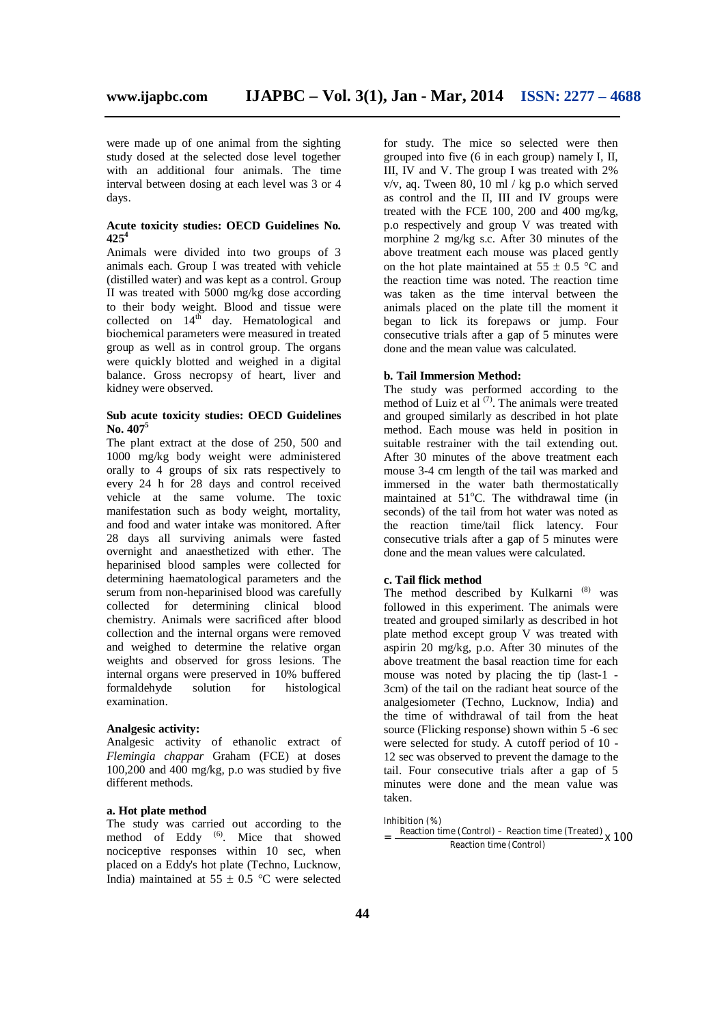were made up of one animal from the sighting study dosed at the selected dose level together with an additional four animals. The time interval between dosing at each level was 3 or 4 days.

#### **Acute toxicity studies: OECD Guidelines No. 425<sup>4</sup>**

Animals were divided into two groups of 3 animals each. Group I was treated with vehicle (distilled water) and was kept as a control. Group II was treated with 5000 mg/kg dose according to their body weight. Blood and tissue were collected on  $14^{th}$  day. Hematological and biochemical parameters were measured in treated group as well as in control group. The organs were quickly blotted and weighed in a digital balance. Gross necropsy of heart, liver and kidney were observed.

#### **Sub acute toxicity studies: OECD Guidelines No. 407<sup>5</sup>**

The plant extract at the dose of 250, 500 and 1000 mg/kg body weight were administered orally to 4 groups of six rats respectively to every 24 h for 28 days and control received vehicle at the same volume. The toxic manifestation such as body weight, mortality, and food and water intake was monitored. After 28 days all surviving animals were fasted overnight and anaesthetized with ether. The heparinised blood samples were collected for determining haematological parameters and the serum from non-heparinised blood was carefully collected for determining clinical blood chemistry. Animals were sacrificed after blood collection and the internal organs were removed and weighed to determine the relative organ weights and observed for gross lesions. The internal organs were preserved in 10% buffered formaldehyde solution for histological examination.

#### **Analgesic activity:**

Analgesic activity of ethanolic extract of *Flemingia chappar* Graham (FCE) at doses 100,200 and 400 mg/kg, p.o was studied by five different methods.

#### **a. Hot plate method**

The study was carried out according to the method of Eddy <sup>(6)</sup>. Mice that showed nociceptive responses within 10 sec, when placed on a Eddy's hot plate (Techno, Lucknow, India) maintained at  $55 \pm 0.5$  °C were selected

for study. The mice so selected were then grouped into five (6 in each group) namely I, II, III, IV and V. The group I was treated with 2%  $v/v$ , aq. Tween 80, 10 ml / kg p.o which served as control and the II, III and IV groups were treated with the FCE 100, 200 and 400 mg/kg, p.o respectively and group V was treated with morphine 2 mg/kg s.c. After 30 minutes of the above treatment each mouse was placed gently on the hot plate maintained at  $55 \pm 0.5$  °C and the reaction time was noted. The reaction time was taken as the time interval between the animals placed on the plate till the moment it began to lick its forepaws or jump. Four consecutive trials after a gap of 5 minutes were done and the mean value was calculated.

#### **b. Tail Immersion Method:**

The study was performed according to the method of Luiz et al  $(7)$ . The animals were treated and grouped similarly as described in hot plate method. Each mouse was held in position in suitable restrainer with the tail extending out. After 30 minutes of the above treatment each mouse 3-4 cm length of the tail was marked and immersed in the water bath thermostatically maintained at  $51^{\circ}$ C. The withdrawal time (in seconds) of the tail from hot water was noted as the reaction time/tail flick latency. Four consecutive trials after a gap of 5 minutes were done and the mean values were calculated.

#### **c. Tail flick method**

The method described by Kulkarni<sup>(8)</sup> was followed in this experiment. The animals were treated and grouped similarly as described in hot plate method except group V was treated with aspirin 20 mg/kg, p.o. After 30 minutes of the above treatment the basal reaction time for each mouse was noted by placing the tip (last-1 - 3cm) of the tail on the radiant heat source of the analgesiometer (Techno, Lucknow, India) and the time of withdrawal of tail from the heat source (Flicking response) shown within 5 -6 sec were selected for study. A cutoff period of 10 - 12 sec was observed to prevent the damage to the tail. Four consecutive trials after a gap of 5 minutes were done and the mean value was taken.

Inhibition (%) = Reaction time (Control) – Reaction time (Treated)<br>Reaction time (Centrol) Reaction time (Control)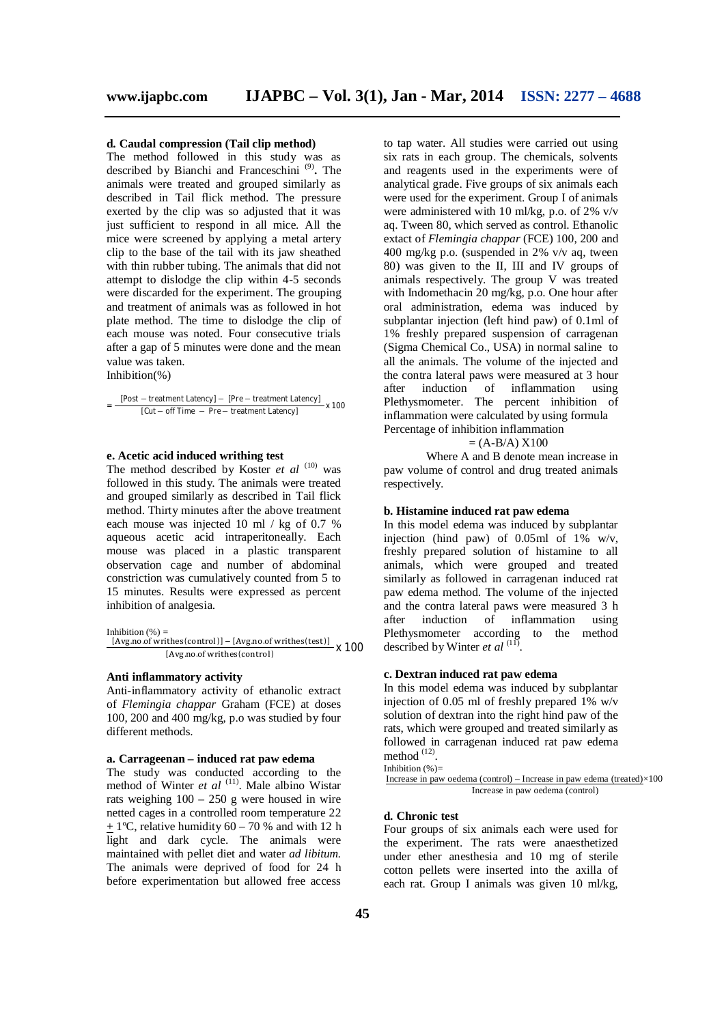#### **d. Caudal compression (Tail clip method)**

The method followed in this study was as described by Bianchi and Franceschini<sup>(9)</sup>. The animals were treated and grouped similarly as described in Tail flick method. The pressure exerted by the clip was so adjusted that it was just sufficient to respond in all mice. All the mice were screened by applying a metal artery clip to the base of the tail with its jaw sheathed with thin rubber tubing. The animals that did not attempt to dislodge the clip within 4-5 seconds were discarded for the experiment. The grouping and treatment of animals was as followed in hot plate method. The time to dislodge the clip of each mouse was noted. Four consecutive trials after a gap of 5 minutes were done and the mean value was taken. Inhibition(%)

= [Post − treatment Latency] − [Pre − treatment Latency] x 100 [Cut − off Time − Pre − treatment Latency]

#### **e. Acetic acid induced writhing test**

The method described by Koster et al <sup>(10)</sup> was followed in this study. The animals were treated and grouped similarly as described in Tail flick method. Thirty minutes after the above treatment each mouse was injected 10 ml / kg of 0.7 % aqueous acetic acid intraperitoneally. Each mouse was placed in a plastic transparent observation cage and number of abdominal constriction was cumulatively counted from 5 to 15 minutes. Results were expressed as percent inhibition of analgesia.

Inhibition  $(% )$  =

 $[Avg.no.of written] - [Avg.no.of written]$ <br> $[Avg.no.of written]$  x 100 [Avg.no.of writhes (control)

#### **Anti inflammatory activity**

Anti-inflammatory activity of ethanolic extract of *Flemingia chappar* Graham (FCE) at doses 100, 200 and 400 mg/kg, p.o was studied by four different methods.

#### **a. Carrageenan – induced rat paw edema**

The study was conducted according to the method of Winter *et al* <sup>(11)</sup>. Male albino Wistar rats weighing 100 – 250 g were housed in wire netted cages in a controlled room temperature 22  $\pm$  1°C, relative humidity 60 – 70 % and with 12 h light and dark cycle. The animals were maintained with pellet diet and water *ad libitum.* The animals were deprived of food for 24 h before experimentation but allowed free access

to tap water. All studies were carried out using six rats in each group. The chemicals, solvents and reagents used in the experiments were of analytical grade. Five groups of six animals each were used for the experiment. Group I of animals were administered with 10 ml/kg, p.o. of 2% v/v aq. Tween 80, which served as control. Ethanolic extact of *Flemingia chappar* (FCE) 100, 200 and 400 mg/kg p.o. (suspended in 2% v/v aq, tween 80) was given to the II, III and IV groups of animals respectively. The group V was treated with Indomethacin 20 mg/kg, p.o. One hour after oral administration, edema was induced by subplantar injection (left hind paw) of 0.1ml of 1% freshly prepared suspension of carragenan (Sigma Chemical Co., USA) in normal saline to all the animals. The volume of the injected and the contra lateral paws were measured at 3 hour after induction of inflammation using Plethysmometer. The percent inhibition of inflammation were calculated by using formula Percentage of inhibition inflammation

 $= (A-B/A) X100$ 

Where A and B denote mean increase in paw volume of control and drug treated animals respectively.

#### **b. Histamine induced rat paw edema**

In this model edema was induced by subplantar injection (hind paw) of  $0.05$ ml of  $1\%$  w/v, freshly prepared solution of histamine to all animals, which were grouped and treated similarly as followed in carragenan induced rat paw edema method. The volume of the injected and the contra lateral paws were measured 3 h after induction of inflammation using Plethysmometer according to the method described by Winter *et al* <sup>(11)</sup>.

#### **c. Dextran induced rat paw edema**

In this model edema was induced by subplantar injection of 0.05 ml of freshly prepared 1% w/v solution of dextran into the right hind paw of the rats, which were grouped and treated similarly as followed in carragenan induced rat paw edema method  $^{(12)}$ .

Inhibition  $(\%)=$ 

Increase in paw oedema (control) – Increase in paw edema (treated) $\times$ 100 Increase in paw oedema (control)

#### **d. Chronic test**

Four groups of six animals each were used for the experiment. The rats were anaesthetized under ether anesthesia and 10 mg of sterile cotton pellets were inserted into the axilla of each rat. Group I animals was given 10 ml/kg,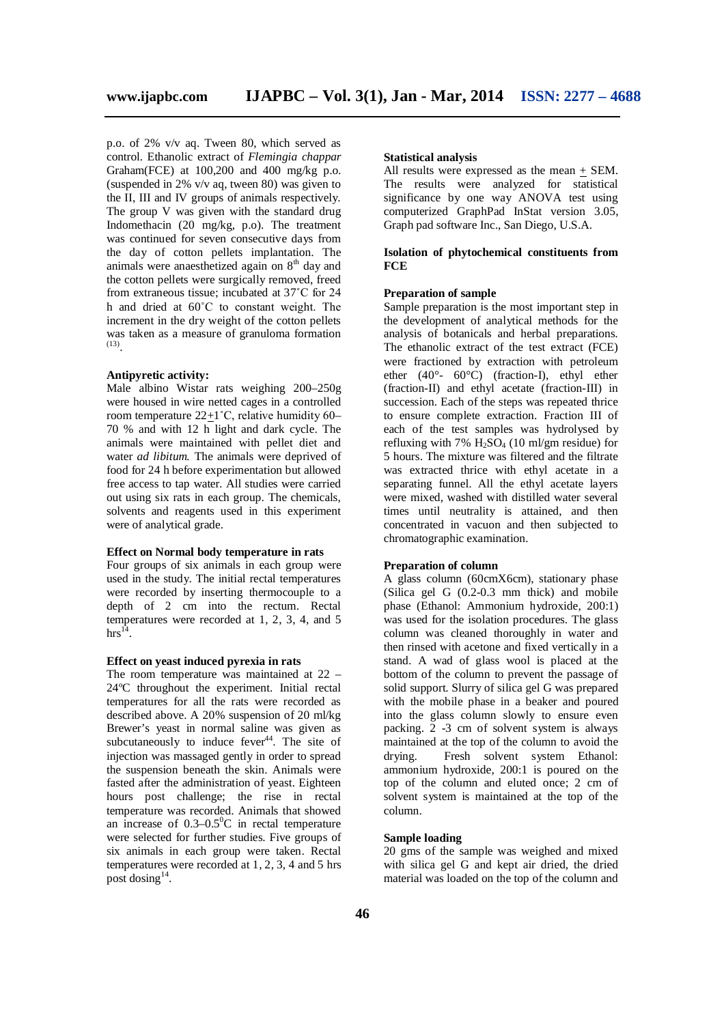p.o. of 2% v/v aq. Tween 80, which served as control. Ethanolic extract of *Flemingia chappar*  Graham(FCE) at 100,200 and 400 mg/kg p.o. (suspended in 2% v/v aq, tween 80) was given to the II, III and IV groups of animals respectively. The group V was given with the standard drug Indomethacin (20 mg/kg, p.o). The treatment was continued for seven consecutive days from the day of cotton pellets implantation. The animals were anaesthetized again on  $8<sup>th</sup>$  day and the cotton pellets were surgically removed, freed from extraneous tissue; incubated at 37˚C for 24 h and dried at 60˚C to constant weight. The increment in the dry weight of the cotton pellets was taken as a measure of granuloma formation (13) .

#### **Antipyretic activity:**

Male albino Wistar rats weighing 200–250g were housed in wire netted cages in a controlled room temperature 22+1˚C, relative humidity 60– 70 % and with 12 h light and dark cycle. The animals were maintained with pellet diet and water *ad libitum.* The animals were deprived of food for 24 h before experimentation but allowed free access to tap water. All studies were carried out using six rats in each group. The chemicals, solvents and reagents used in this experiment were of analytical grade.

#### **Effect on Normal body temperature in rats**

Four groups of six animals in each group were used in the study. The initial rectal temperatures were recorded by inserting thermocouple to a depth of 2 cm into the rectum. Rectal temperatures were recorded at 1, 2, 3, 4, and 5  $\text{hrs}^{\overline{14}}$ .

#### **Effect on yeast induced pyrexia in rats**

The room temperature was maintained at 22 – 24ºC throughout the experiment. Initial rectal temperatures for all the rats were recorded as described above. A 20% suspension of 20 ml/kg Brewer's yeast in normal saline was given as subcutaneously to induce  $fever<sup>44</sup>$ . The site of injection was massaged gently in order to spread the suspension beneath the skin. Animals were fasted after the administration of yeast. Eighteen hours post challenge; the rise in rectal temperature was recorded. Animals that showed an increase of  $0.3-0.5$ <sup>o</sup>C in rectal temperature were selected for further studies. Five groups of six animals in each group were taken. Rectal temperatures were recorded at 1, 2, 3, 4 and 5 hrs post dosing $^{14}$ .

#### **Statistical analysis**

All results were expressed as the mean + SEM. The results were analyzed for statistical significance by one way ANOVA test using computerized GraphPad InStat version 3.05, Graph pad software Inc., San Diego, U.S.A.

#### **Isolation of phytochemical constituents from FCE**

#### **Preparation of sample**

Sample preparation is the most important step in the development of analytical methods for the analysis of botanicals and herbal preparations. The ethanolic extract of the test extract (FCE) were fractioned by extraction with petroleum ether (40°- 60°C) (fraction-I), ethyl ether (fraction-II) and ethyl acetate (fraction-III) in succession. Each of the steps was repeated thrice to ensure complete extraction. Fraction III of each of the test samples was hydrolysed by refluxing with 7%  $H_2SO_4$  (10 ml/gm residue) for 5 hours. The mixture was filtered and the filtrate was extracted thrice with ethyl acetate in a separating funnel. All the ethyl acetate layers were mixed, washed with distilled water several times until neutrality is attained, and then concentrated in vacuon and then subjected to chromatographic examination.

#### **Preparation of column**

A glass column (60cmX6cm), stationary phase (Silica gel G (0.2-0.3 mm thick) and mobile phase (Ethanol: Ammonium hydroxide, 200:1) was used for the isolation procedures. The glass column was cleaned thoroughly in water and then rinsed with acetone and fixed vertically in a stand. A wad of glass wool is placed at the bottom of the column to prevent the passage of solid support. Slurry of silica gel G was prepared with the mobile phase in a beaker and poured into the glass column slowly to ensure even packing. 2 -3 cm of solvent system is always maintained at the top of the column to avoid the drying. Fresh solvent system Ethanol: ammonium hydroxide, 200:1 is poured on the top of the column and eluted once; 2 cm of solvent system is maintained at the top of the column.

#### **Sample loading**

20 gms of the sample was weighed and mixed with silica gel G and kept air dried, the dried material was loaded on the top of the column and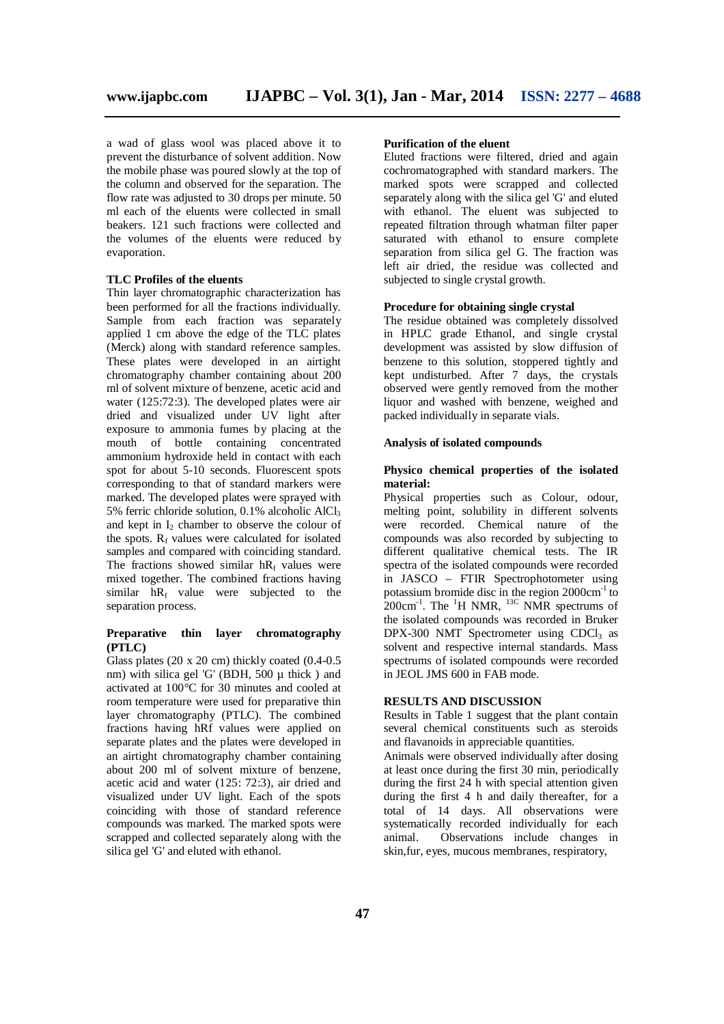a wad of glass wool was placed above it to prevent the disturbance of solvent addition. Now the mobile phase was poured slowly at the top of the column and observed for the separation. The flow rate was adjusted to 30 drops per minute. 50 ml each of the eluents were collected in small beakers. 121 such fractions were collected and the volumes of the eluents were reduced by evaporation.

#### **TLC Profiles of the eluents**

Thin layer chromatographic characterization has been performed for all the fractions individually. Sample from each fraction was separately applied 1 cm above the edge of the TLC plates (Merck) along with standard reference samples. These plates were developed in an airtight chromatography chamber containing about 200 ml of solvent mixture of benzene, acetic acid and water (125:72:3). The developed plates were air dried and visualized under UV light after exposure to ammonia fumes by placing at the mouth of bottle containing concentrated ammonium hydroxide held in contact with each spot for about 5-10 seconds. Fluorescent spots corresponding to that of standard markers were marked. The developed plates were sprayed with 5% ferric chloride solution, 0.1% alcoholic AlCl<sup>3</sup> and kept in  $I_2$  chamber to observe the colour of the spots.  $R_f$  values were calculated for isolated samples and compared with coinciding standard. The fractions showed similar  $hR_f$  values were mixed together. The combined fractions having similar  $hR_f$  value were subjected to the separation process.

#### **Preparative thin layer chromatography (PTLC)**

Glass plates (20 x 20 cm) thickly coated (0.4-0.5 nm) with silica gel 'G' (BDH, 500  $\mu$  thick) and activated at 100°C for 30 minutes and cooled at room temperature were used for preparative thin layer chromatography (PTLC). The combined fractions having hRf values were applied on separate plates and the plates were developed in an airtight chromatography chamber containing about 200 ml of solvent mixture of benzene, acetic acid and water (125: 72:3), air dried and visualized under UV light. Each of the spots coinciding with those of standard reference compounds was marked. The marked spots were scrapped and collected separately along with the silica gel 'G' and eluted with ethanol.

#### **Purification of the eluent**

Eluted fractions were filtered, dried and again cochromatographed with standard markers. The marked spots were scrapped and collected separately along with the silica gel 'G' and eluted with ethanol. The eluent was subjected to repeated filtration through whatman filter paper saturated with ethanol to ensure complete separation from silica gel G. The fraction was left air dried, the residue was collected and subjected to single crystal growth.

#### **Procedure for obtaining single crystal**

The residue obtained was completely dissolved in HPLC grade Ethanol, and single crystal development was assisted by slow diffusion of benzene to this solution, stoppered tightly and kept undisturbed. After 7 days, the crystals observed were gently removed from the mother liquor and washed with benzene, weighed and packed individually in separate vials.

#### **Analysis of isolated compounds**

#### **Physico chemical properties of the isolated material:**

Physical properties such as Colour, odour, melting point, solubility in different solvents were recorded. Chemical nature of the compounds was also recorded by subjecting to different qualitative chemical tests. The IR spectra of the isolated compounds were recorded in JASCO – FTIR Spectrophotometer using potassium bromide disc in the region 2000cm-1 to  $200 \text{cm}^{-1}$ . The  $^{1}$ H NMR,  $^{13}$ C NMR spectrums of the isolated compounds was recorded in Bruker  $DPX-300 NMT$  Spectrometer using CDCl<sub>3</sub> as solvent and respective internal standards. Mass spectrums of isolated compounds were recorded in JEOL JMS 600 in FAB mode.

#### **RESULTS AND DISCUSSION**

Results in Table 1 suggest that the plant contain several chemical constituents such as steroids and flavanoids in appreciable quantities.

Animals were observed individually after dosing at least once during the first 30 min, periodically during the first 24 h with special attention given during the first 4 h and daily thereafter, for a total of 14 days. All observations were systematically recorded individually for each<br>animal. Observations include changes in Observations include changes in skin,fur, eyes, mucous membranes, respiratory,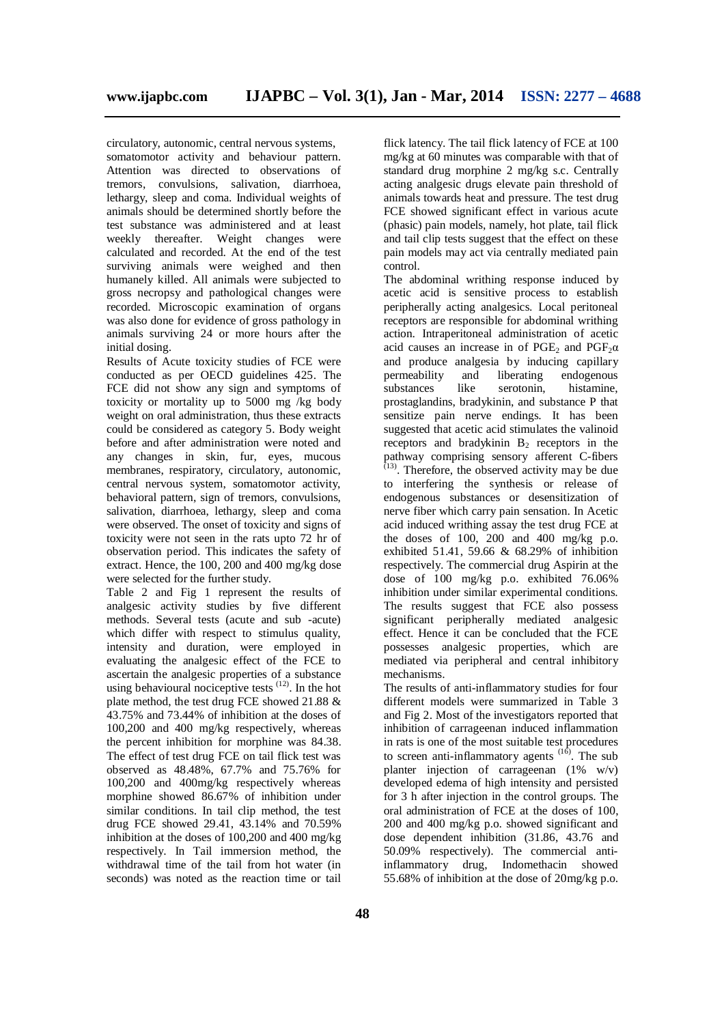circulatory, autonomic, central nervous systems, somatomotor activity and behaviour pattern. Attention was directed to observations of tremors, convulsions, salivation, diarrhoea, lethargy, sleep and coma. Individual weights of animals should be determined shortly before the test substance was administered and at least weekly thereafter. Weight changes were calculated and recorded. At the end of the test surviving animals were weighed and then humanely killed. All animals were subjected to gross necropsy and pathological changes were recorded. Microscopic examination of organs was also done for evidence of gross pathology in animals surviving 24 or more hours after the initial dosing.

Results of Acute toxicity studies of FCE were conducted as per OECD guidelines 425. The FCE did not show any sign and symptoms of toxicity or mortality up to 5000 mg /kg body weight on oral administration, thus these extracts could be considered as category 5. Body weight before and after administration were noted and any changes in skin, fur, eyes, mucous membranes, respiratory, circulatory, autonomic, central nervous system, somatomotor activity, behavioral pattern, sign of tremors, convulsions, salivation, diarrhoea, lethargy, sleep and coma were observed. The onset of toxicity and signs of toxicity were not seen in the rats upto 72 hr of observation period. This indicates the safety of extract. Hence, the 100, 200 and 400 mg/kg dose were selected for the further study.

Table 2 and Fig 1 represent the results of analgesic activity studies by five different methods. Several tests (acute and sub -acute) which differ with respect to stimulus quality, intensity and duration, were employed in evaluating the analgesic effect of the FCE to ascertain the analgesic properties of a substance using behavioural nociceptive tests  $(12)$ . In the hot plate method, the test drug FCE showed 21.88 & 43.75% and 73.44% of inhibition at the doses of 100,200 and 400 mg/kg respectively, whereas the percent inhibition for morphine was 84.38. The effect of test drug FCE on tail flick test was observed as 48.48%, 67.7% and 75.76% for 100,200 and 400mg/kg respectively whereas morphine showed 86.67% of inhibition under similar conditions. In tail clip method, the test drug FCE showed 29.41, 43.14% and 70.59% inhibition at the doses of 100,200 and 400 mg/kg respectively. In Tail immersion method, the withdrawal time of the tail from hot water (in seconds) was noted as the reaction time or tail

flick latency. The tail flick latency of FCE at 100 mg/kg at 60 minutes was comparable with that of standard drug morphine 2 mg/kg s.c. Centrally acting analgesic drugs elevate pain threshold of animals towards heat and pressure. The test drug FCE showed significant effect in various acute (phasic) pain models, namely, hot plate, tail flick and tail clip tests suggest that the effect on these pain models may act via centrally mediated pain control.

The abdominal writhing response induced by acetic acid is sensitive process to establish peripherally acting analgesics. Local peritoneal receptors are responsible for abdominal writhing action. Intraperitoneal administration of acetic acid causes an increase in of PGE<sub>2</sub> and PGF<sub>2</sub> $\alpha$ and produce analgesia by inducing capillary permeability and liberating endogenous substances like serotonin, histamine, prostaglandins, bradykinin, and substance P that sensitize pain nerve endings. It has been suggested that acetic acid stimulates the valinoid receptors and bradykinin  $B_2$  receptors in the pathway comprising sensory afferent C-fibers (13) . Therefore, the observed activity may be due to interfering the synthesis or release of endogenous substances or desensitization of nerve fiber which carry pain sensation. In Acetic acid induced writhing assay the test drug FCE at the doses of  $100$ ,  $200$  and  $400$  mg/kg p.o. exhibited 51.41, 59.66 & 68.29% of inhibition respectively. The commercial drug Aspirin at the dose of 100 mg/kg p.o. exhibited 76.06% inhibition under similar experimental conditions. The results suggest that FCE also possess significant peripherally mediated analgesic effect. Hence it can be concluded that the FCE possesses analgesic properties, which are mediated via peripheral and central inhibitory mechanisms.

The results of anti-inflammatory studies for four different models were summarized in Table 3 and Fig 2. Most of the investigators reported that inhibition of carrageenan induced inflammation in rats is one of the most suitable test procedures to screen anti-inflammatory agents  $(16)$ . The sub planter injection of carrageenan  $(1\%$  w/v) developed edema of high intensity and persisted for 3 h after injection in the control groups. The oral administration of FCE at the doses of 100, 200 and 400 mg/kg p.o. showed significant and dose dependent inhibition (31.86, 43.76 and 50.09% respectively). The commercial antiinflammatory drug, Indomethacin showed 55.68% of inhibition at the dose of 20mg/kg p.o.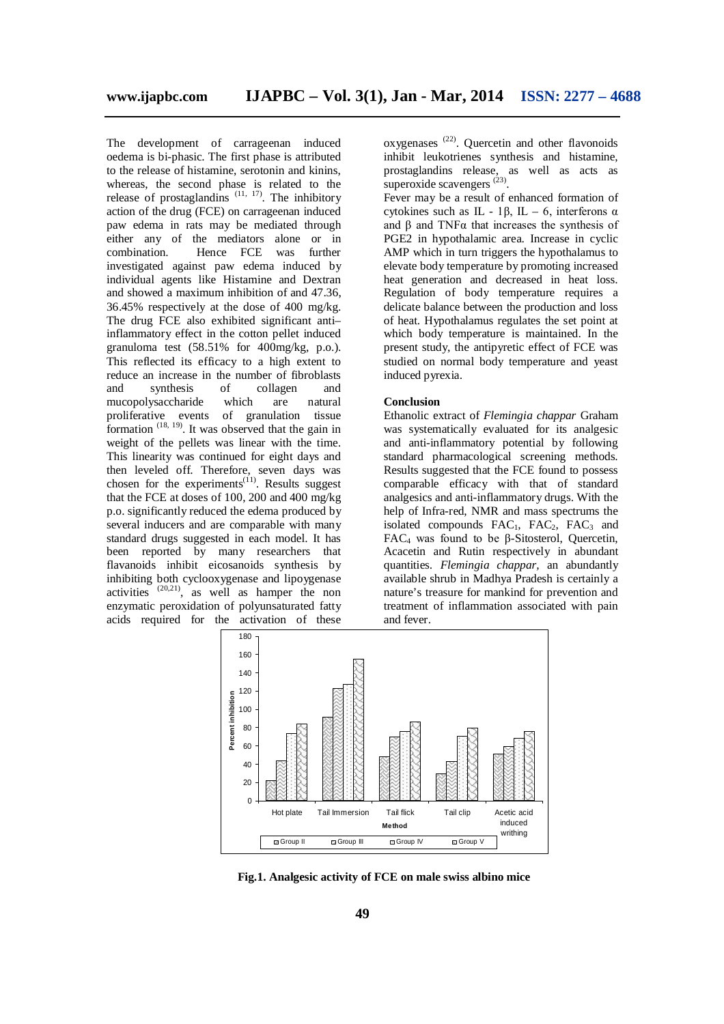The development of carrageenan induced oedema is bi-phasic. The first phase is attributed to the release of histamine, serotonin and kinins, whereas, the second phase is related to the release of prostaglandins  $(11, 17)$ . The inhibitory action of the drug (FCE) on carrageenan induced paw edema in rats may be mediated through either any of the mediators alone or in combination. Hence FCE was further investigated against paw edema induced by individual agents like Histamine and Dextran and showed a maximum inhibition of and 47.36, 36.45% respectively at the dose of 400 mg/kg. The drug FCE also exhibited significant anti– inflammatory effect in the cotton pellet induced granuloma test (58.51% for 400mg/kg, p.o.). This reflected its efficacy to a high extent to reduce an increase in the number of fibroblasts and synthesis of collagen and mucopolysaccharide which are natural proliferative events of granulation tissue formation  $(18, 19)$ . It was observed that the gain in weight of the pellets was linear with the time. This linearity was continued for eight days and then leveled off. Therefore, seven days was chosen for the experiments $(11)$ . Results suggest that the FCE at doses of 100, 200 and 400 mg/kg p.o. significantly reduced the edema produced by several inducers and are comparable with many standard drugs suggested in each model. It has been reported by many researchers that flavanoids inhibit eicosanoids synthesis by inhibiting both cyclooxygenase and lipoygenase activities  $(20,21)$ , as well as hamper the non enzymatic peroxidation of polyunsaturated fatty acids required for the activation of these

oxygenases<sup>(22)</sup>. Quercetin and other flavonoids inhibit leukotrienes synthesis and histamine, prostaglandins release, as well as acts as superoxide scavengers  $^{(23)}$ .

Fever may be a result of enhanced formation of cytokines such as IL - 1β, IL – 6, interferons  $\alpha$ and β and TNFα that increases the synthesis of PGE2 in hypothalamic area. Increase in cyclic AMP which in turn triggers the hypothalamus to elevate body temperature by promoting increased heat generation and decreased in heat loss. Regulation of body temperature requires a delicate balance between the production and loss of heat. Hypothalamus regulates the set point at which body temperature is maintained. In the present study, the antipyretic effect of FCE was studied on normal body temperature and yeast induced pyrexia.

#### **Conclusion**

Ethanolic extract of *Flemingia chappar* Graham was systematically evaluated for its analgesic and anti-inflammatory potential by following standard pharmacological screening methods. Results suggested that the FCE found to possess comparable efficacy with that of standard analgesics and anti-inflammatory drugs. With the help of Infra-red, NMR and mass spectrums the isolated compounds  $FAC<sub>1</sub>$ ,  $FAC<sub>2</sub>$ ,  $FAC<sub>3</sub>$  and FAC<sub>4</sub> was found to be β-Sitosterol, Quercetin, Acacetin and Rutin respectively in abundant quantities. *Flemingia chappar,* an abundantly available shrub in Madhya Pradesh is certainly a nature's treasure for mankind for prevention and treatment of inflammation associated with pain and fever.



**Fig.1. Analgesic activity of FCE on male swiss albino mice**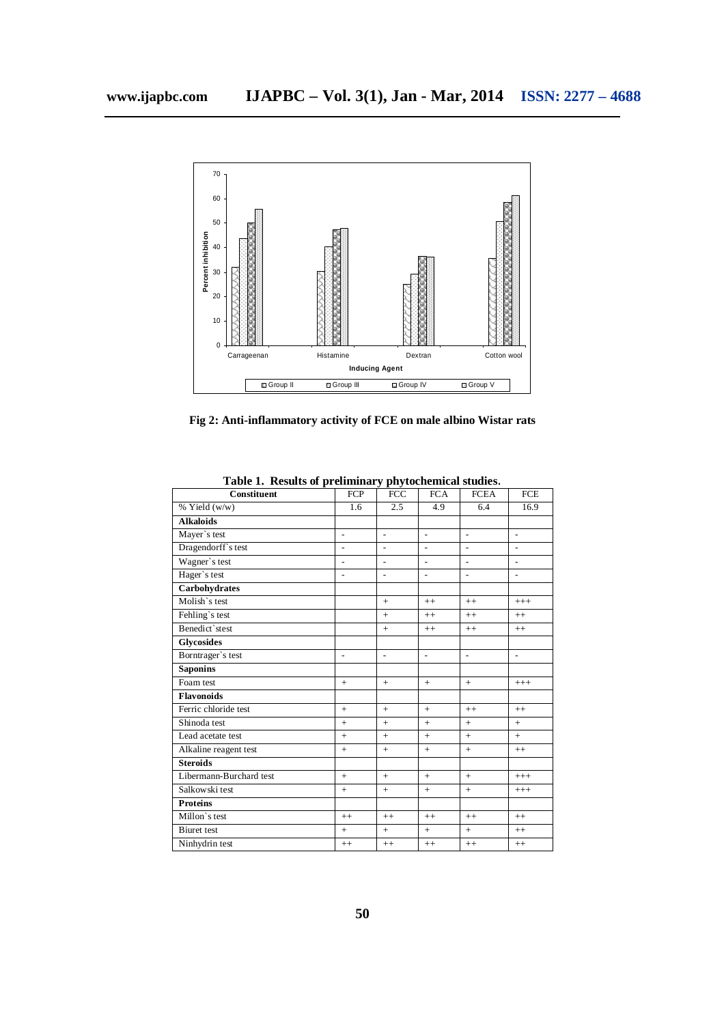

**Fig 2: Anti-inflammatory activity of FCE on male albino Wistar rats**

| Constituent             | <b>FCP</b>     | <b>FCC</b>     | <b>FCA</b>     | <b>FCEA</b>    | <b>FCE</b>     |
|-------------------------|----------------|----------------|----------------|----------------|----------------|
| % Yield (w/w)           | 1.6            | 2.5            | 4.9            | 6.4            | 16.9           |
| <b>Alkaloids</b>        |                |                |                |                |                |
| Mayer's test            | $\overline{a}$ | $\overline{a}$ | $\overline{a}$ | $\overline{a}$ | $\overline{a}$ |
| Dragendorff's test      | $\overline{a}$ | $\overline{a}$ |                | $\overline{a}$ | $\overline{a}$ |
| Wagner's test           | $\overline{a}$ | $\overline{a}$ |                |                |                |
| Hager's test            | $\overline{a}$ | $\overline{a}$ | $\overline{a}$ | $\overline{a}$ | $\overline{a}$ |
| Carbohydrates           |                |                |                |                |                |
| Molish's test           |                | $+$            | $++$           | $++$           | $+++$          |
| Fehling's test          |                | $+$            | $++$           | $++$           | $++$           |
| Benedict`stest          |                | $+$            | $++$           | $^{++}$        | $^{++}$        |
| <b>Glycosides</b>       |                |                |                |                |                |
| Borntrager's test       | $\overline{a}$ | $\overline{a}$ | $\overline{a}$ | $\overline{a}$ | $\overline{a}$ |
| <b>Saponins</b>         |                |                |                |                |                |
| Foam test               | $+$            | $+$            | $+$            | $+$            | $+++$          |
| <b>Flavonoids</b>       |                |                |                |                |                |
| Ferric chloride test    | $+$            | $+$            | $+$            | $^{++}$        | $^{++}$        |
| Shinoda test            | $+$            | $+$            | $+$            | $+$            | $+$            |
| Lead acetate test       | $^{+}$         | $+$            | $+$            | $+$            | $+$            |
| Alkaline reagent test   | $^{+}$         | $+$            | $+$            | $+$            | $^{++}$        |
| <b>Steroids</b>         |                |                |                |                |                |
| Libermann-Burchard test | $+$            | $+$            | $+$            | $+$            | $+++$          |
| Salkowski test          | $+$            | $+$            | $+$            | $+$            | $+++$          |
| <b>Proteins</b>         |                |                |                |                |                |
| Millon's test           | $^{++}$        | $++$           | $++$           | $++$           | $^{++}$        |
| <b>Biuret</b> test      | $+$            | $+$            | $+$            | $+$            | $^{++}$        |
| Ninhydrin test          | $^{++}$        | $++$           | $++$           | $++$           | $++$           |

**Table 1. Results of preliminary phytochemical studies**.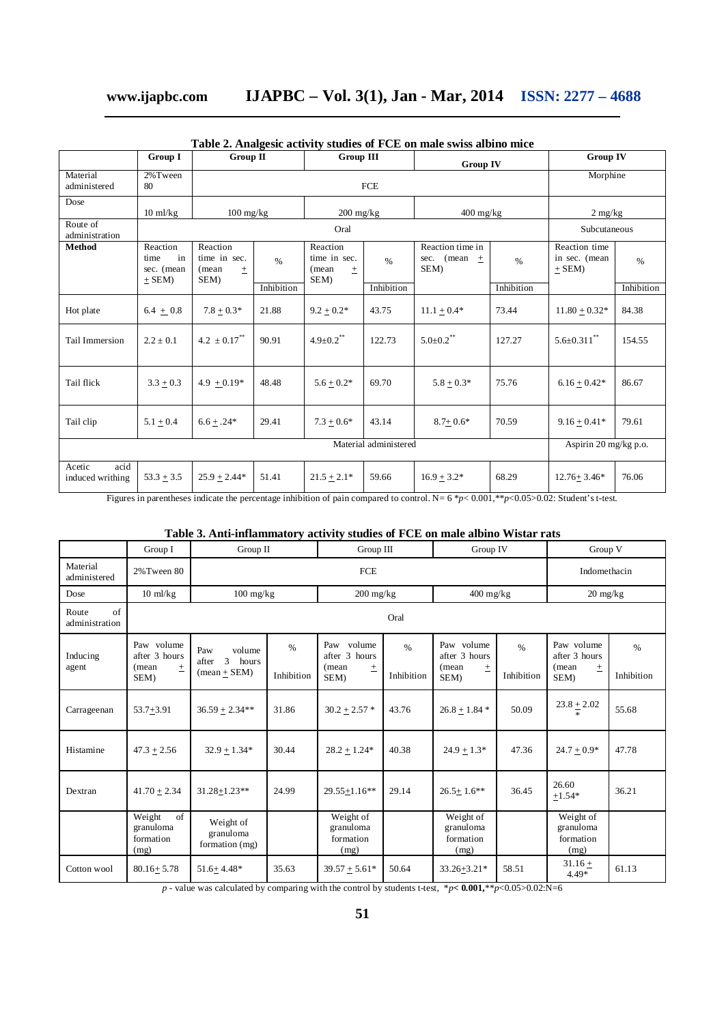### **www.ijapbc.com IJAPBC – Vol. 3(1), Jan - Mar, 2014 ISSN: 2277 – 4688**

|                                    | Group I                                            | <b>Group III</b><br>$Group$ $\Pi$                  |            | <b>Group IV</b>                                 |            | <b>Group IV</b>                              |                       |                                            |            |  |
|------------------------------------|----------------------------------------------------|----------------------------------------------------|------------|-------------------------------------------------|------------|----------------------------------------------|-----------------------|--------------------------------------------|------------|--|
| Material<br>administered           | 2% Tween<br>80                                     |                                                    |            | <b>FCE</b>                                      |            |                                              |                       |                                            | Morphine   |  |
| Dose                               | $10 \text{ ml/kg}$                                 | $100 \frac{\text{mg}}{\text{kg}}$                  |            | $200$ mg/kg                                     |            | $400 \frac{\text{mg}}{\text{kg}}$            |                       | $2 \text{ mg/kg}$                          |            |  |
| Route of<br>administration         |                                                    |                                                    |            | Oral                                            |            |                                              |                       | Subcutaneous                               |            |  |
| Method                             | Reaction<br>in<br>time<br>sec. (mean<br>$\pm$ SEM) | Reaction<br>time in sec.<br>(mean<br>$\pm$<br>SEM) | %          | Reaction<br>time in sec.<br>(mean)<br>土<br>SEM) | $\%$       | Reaction time in<br>sec. (mean $\pm$<br>SEM) | $\%$                  | Reaction time<br>in sec. (mean<br>$+$ SEM) | $\%$       |  |
|                                    |                                                    |                                                    | Inhibition |                                                 | Inhibition |                                              | Inhibition            |                                            | Inhibition |  |
| Hot plate                          | $6.4 + 0.8$                                        | $7.8 + 0.3*$                                       | 21.88      | $9.2 + 0.2*$                                    | 43.75      | $11.1 \pm 0.4*$                              | 73.44                 | $11.80 + 0.32*$                            | 84.38      |  |
| Tail Immersion                     | $2.2 \pm 0.1$                                      | $4.2 \pm 0.17$ <sup>**</sup>                       | 90.91      | $4.9 \pm 0.2$ **                                | 122.73     | $5.0 \pm 0.2$ **                             | 127.27                | $5.6 \pm 0.311$ **                         | 154.55     |  |
| Tail flick                         | $3.3 \pm 0.3$                                      | 4.9 $\pm$ 0.19*                                    | 48.48      | $5.6 \pm 0.2*$                                  | 69.70      | $5.8 \pm 0.3*$                               | 75.76                 | $6.16 \pm 0.42*$                           | 86.67      |  |
| Tail clip                          | $5.1 + 0.4$                                        | $6.6 + .24*$                                       | 29.41      | $7.3 + 0.6*$                                    | 43.14      | $8.7 + 0.6*$                                 | 70.59                 | $9.16 + 0.41*$                             | 79.61      |  |
|                                    |                                                    | Material administered                              |            |                                                 |            |                                              | Aspirin 20 mg/kg p.o. |                                            |            |  |
| acid<br>Acetic<br>induced writhing | $53.3 \pm 3.5$                                     | $25.9 + 2.44*$                                     | 51.41      | $21.5 \pm 2.1*$                                 | 59.66      | $16.9 + 3.2*$                                | 68.29                 | $12.76 + 3.46*$                            | 76.06      |  |

**Table 2. Analgesic activity studies of FCE on male swiss albino mice**

Figures in parentheses indicate the percentage inhibition of pain compared to control. N= 6 \**p*< 0.001,\*\**p*<0.05>0.02: Student's t-test.

### **Table 3. Anti-inflammatory activity studies of FCE on male albino Wistar rats**

|                               | Group I                                               | Group II                                               |                    | Group III                                                |                    | Group IV                                              |                    | Group V                                                  |                    |
|-------------------------------|-------------------------------------------------------|--------------------------------------------------------|--------------------|----------------------------------------------------------|--------------------|-------------------------------------------------------|--------------------|----------------------------------------------------------|--------------------|
| Material<br>administered      | 2% Tween 80                                           |                                                        |                    | FCE                                                      |                    |                                                       | Indomethacin       |                                                          |                    |
| Dose                          | $10 \text{ ml/kg}$                                    | $100 \text{ mg/kg}$                                    |                    | $200 \frac{\text{mg}}{\text{kg}}$                        |                    | $400 \frac{\text{mg}}{\text{kg}}$                     |                    | $20 \text{ mg/kg}$                                       |                    |
| of<br>Route<br>administration |                                                       |                                                        |                    |                                                          | Oral               |                                                       |                    |                                                          |                    |
| Inducing<br>agent             | Paw volume<br>after 3 hours<br>(mean<br>$\pm$<br>SEM) | Paw<br>volume<br>3<br>after<br>hours<br>$mean + SEM$ ) | $\%$<br>Inhibition | Paw volume<br>after 3 hours<br>(mean<br>$_{\pm}$<br>SEM) | $\%$<br>Inhibition | Paw volume<br>after 3 hours<br>(mean<br>$\pm$<br>SEM) | $\%$<br>Inhibition | Paw volume<br>after 3 hours<br>(mean<br>$_{\pm}$<br>SEM) | $\%$<br>Inhibition |
| Carrageenan                   | $53.7 + 3.91$                                         | $36.59 + 2.34**$                                       | 31.86              | $30.2 + 2.57$ *                                          | 43.76              | $26.8 + 1.84*$                                        | 50.09              | $23.8 + 2.02$                                            | 55.68              |
| Histamine                     | $47.3 + 2.56$                                         | $32.9 + 1.34*$                                         | 30.44              | $28.2 + 1.24*$                                           | 40.38              | $24.9 + 1.3*$                                         | 47.36              | $24.7 + 0.9*$                                            | 47.78              |
| Dextran                       | $41.70 + 2.34$                                        | $31.28 + 1.23$ **                                      | 24.99              | $29.55 + 1.16**$                                         | 29.14              | $26.5 + 1.6**$                                        | 36.45              | 26.60<br>$+1.54*$                                        | 36.21              |
|                               | of<br>Weight<br>granuloma<br>formation<br>(mg)        | Weight of<br>granuloma<br>formation (mg)               |                    | Weight of<br>granuloma<br>formation<br>(mg)              |                    | Weight of<br>granuloma<br>formation<br>(mg)           |                    | Weight of<br>granuloma<br>formation<br>(mg)              |                    |
| Cotton wool                   | $80.16 + 5.78$                                        | $51.6 + 4.48*$                                         | 35.63              | $39.57 + 5.61*$                                          | 50.64              | $33.26 + 3.21*$                                       | 58.51              | $31.16 +$<br>$4.49*$                                     | 61.13              |

*p* - value was calculated by comparing with the control by students t-test,  $*p < 0.001, **p < 0.05 > 0.02$ :N=6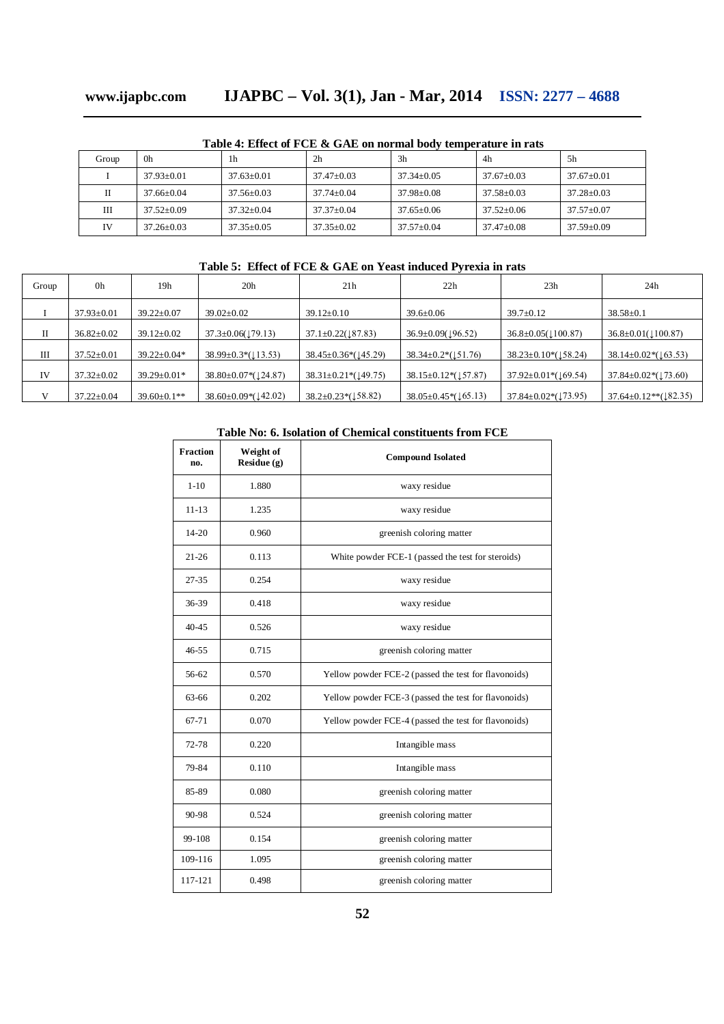# **www.ijapbc.com IJAPBC – Vol. 3(1), Jan - Mar, 2014 ISSN: 2277 – 4688**

| Table - Ence of I CL & Gill on hormal boay temperature in raw |                |                |                |                |                  |                  |  |
|---------------------------------------------------------------|----------------|----------------|----------------|----------------|------------------|------------------|--|
| Group                                                         | 0h             | 1h             | 2 <sub>h</sub> | 3h             | 4h               | .5h              |  |
|                                                               | $37.93+0.01$   | $37.63+0.01$   | $37.47+0.03$   | $37.34 + 0.05$ | $37.67+0.03$     | $37.67+0.01$     |  |
|                                                               | $37.66 + 0.04$ | $37.56 + 0.03$ | $37.74 + 0.04$ | $37.98 + 0.08$ | $37.58 + 0.03$   | $37.28 + 0.03$   |  |
| Ш                                                             | $37.52+0.09$   | $37.32+0.04$   | $37.37+0.04$   | $37.65 + 0.06$ | $37.52 \pm 0.06$ | $37.57+0.07$     |  |
| IV                                                            | $37.26 + 0.03$ | $37.35 + 0.05$ | $37.35 + 0.02$ | $37.57+0.04$   | $37.47 \pm 0.08$ | $37.59 \pm 0.09$ |  |

**Table 4: Effect of FCE & GAE on normal body temperature in rats**

### **Table 5: Effect of FCE & GAE on Yeast induced Pyrexia in rats**

| Group | 0h               | 19 <sub>h</sub>    | 20 <sub>h</sub>                  | 21h                                       | 22h                                        | 23h                                                | 24h                                   |
|-------|------------------|--------------------|----------------------------------|-------------------------------------------|--------------------------------------------|----------------------------------------------------|---------------------------------------|
|       | $37.93 \pm 0.01$ | $39.22 \pm 0.07$   | $39.02 \pm 0.02$                 | $39.12 \pm 0.10$                          | $39.6 \pm 0.06$                            | $39.7 \pm 0.12$                                    | $38.58 \pm 0.1$                       |
| П     | $36.82 \pm 0.02$ | $39.12 \pm 0.02$   | $37.3 \pm 0.06(179.13)$          | $37.1 \pm 0.22 \times 87.83$              | $36.9 \pm 0.09 \times 196.52$              | $36.8 \pm 0.05 \times 100.87$                      | $36.8 \pm 0.01 (\text{100.87})$       |
| Ш     | $37.52 \pm 0.01$ | $39.22 \pm 0.04*$  | $38.99 \pm 0.3 \times (113.53)$  | $38.45 \pm 0.36 \cdot (145.29)$           | $38.34 \pm 0.2 \times (151.76)$            | $38.23 \pm 0.10 \times (\text{158.24})$            | $38.14 \pm 0.02 \cdot (\sqrt{63.53})$ |
| IV    | $37.32 \pm 0.02$ | $39.29 \pm 0.01*$  | $38.80 \pm 0.07 \cdot (124.87)$  | $38.31 \pm 0.21 \cdot (\downarrow 49.75)$ | $38.15 \pm 0.12 \cdot (\sqrt{57.87})$      | $37.92 \pm 0.01 \cdot (\text{\textsterling}69.54)$ | $37.84 \pm 0.02 \cdot (\sqrt{73.60})$ |
| V     | $37.22 \pm 0.04$ | $39.60 \pm 0.1$ ** | $38.60 \pm 0.09 \times (142.02)$ | $38.2 \pm 0.23 \cdot (\text{158.82})$     | $38.05 \pm 0.45 \times (\downarrow 65.13)$ | $37.84 \pm 0.02 \times (173.95)$                   | $37.64 \pm 0.12**$ (182.35)           |

### **Table No: 6. Isolation of Chemical constituents from FCE**

| Fraction<br>no. | Weight of<br>Residue (g)          | <b>Compound Isolated</b>                             |  |  |  |
|-----------------|-----------------------------------|------------------------------------------------------|--|--|--|
| $1 - 10$        | 1.880                             | waxy residue                                         |  |  |  |
| $11 - 13$       | 1.235                             | waxy residue                                         |  |  |  |
| $14 - 20$       | 0.960                             | greenish coloring matter                             |  |  |  |
| $21 - 26$       | 0.113                             | White powder FCE-1 (passed the test for steroids)    |  |  |  |
| $27 - 35$       | 0.254                             | waxy residue                                         |  |  |  |
| $36 - 39$       | 0.418                             | waxy residue                                         |  |  |  |
| $40 - 45$       | 0.526                             | waxy residue                                         |  |  |  |
| $46 - 55$       | 0.715<br>greenish coloring matter |                                                      |  |  |  |
| 56-62           | 0.570                             | Yellow powder FCE-2 (passed the test for flavonoids) |  |  |  |
| 63-66           | 0.202                             | Yellow powder FCE-3 (passed the test for flavonoids) |  |  |  |
| $67 - 71$       | 0.070                             | Yellow powder FCE-4 (passed the test for flavonoids) |  |  |  |
| 72-78           | 0.220                             | Intangible mass                                      |  |  |  |
| 79-84           | 0.110                             | Intangible mass                                      |  |  |  |
| 85-89           | 0.080                             | greenish coloring matter                             |  |  |  |
| 90-98           | 0.524                             | greenish coloring matter                             |  |  |  |
| 99-108          | 0.154                             | greenish coloring matter                             |  |  |  |
| 109-116         | 1.095                             | greenish coloring matter                             |  |  |  |
| 117-121         | 0.498                             | greenish coloring matter                             |  |  |  |